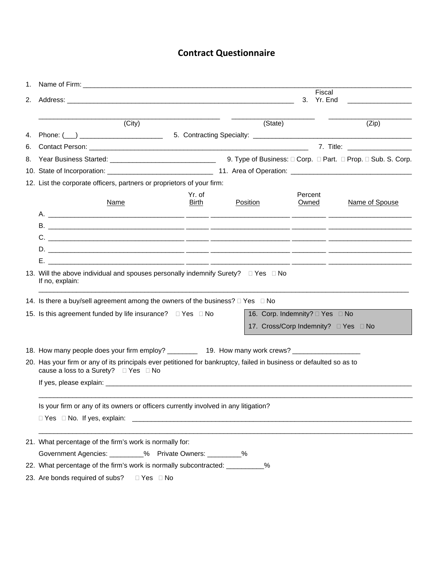## **Contract Questionnaire**

| 1. | Name of Firm: Name of Firm: Name of Firm: Name of Firm: Name of Firm: Name of Firm: Name of Table 1.                                                        |                                 |                                    |         |                             |  |  |  |
|----|-------------------------------------------------------------------------------------------------------------------------------------------------------------|---------------------------------|------------------------------------|---------|-----------------------------|--|--|--|
| 2. |                                                                                                                                                             |                                 |                                    |         | Fiscal<br>3. Yr. End        |  |  |  |
|    |                                                                                                                                                             |                                 |                                    |         |                             |  |  |  |
|    | (City)                                                                                                                                                      |                                 | (State)                            |         | (Zip)                       |  |  |  |
| 4. |                                                                                                                                                             |                                 |                                    |         |                             |  |  |  |
| 6. |                                                                                                                                                             |                                 |                                    |         | 7. Title: _________________ |  |  |  |
| 8. |                                                                                                                                                             |                                 |                                    |         |                             |  |  |  |
|    |                                                                                                                                                             |                                 |                                    |         |                             |  |  |  |
|    | 12. List the corporate officers, partners or proprietors of your firm:                                                                                      |                                 |                                    |         |                             |  |  |  |
|    |                                                                                                                                                             | Yr. of                          |                                    | Percent |                             |  |  |  |
|    | <b>Name</b>                                                                                                                                                 | <b>Birth</b>                    | <b>Position</b>                    | Owned   | Name of Spouse              |  |  |  |
|    |                                                                                                                                                             |                                 |                                    |         |                             |  |  |  |
|    |                                                                                                                                                             |                                 |                                    |         |                             |  |  |  |
|    |                                                                                                                                                             |                                 |                                    |         |                             |  |  |  |
|    | Е.                                                                                                                                                          |                                 |                                    |         |                             |  |  |  |
|    | <u> 2001 - Januar Alexander (h. 1982).</u><br>1905 - Johann Alexander (h. 1982).                                                                            |                                 |                                    |         |                             |  |  |  |
|    | 13. Will the above individual and spouses personally indemnify Surety? $\square$ Yes $\square$ No<br>If no, explain:                                        |                                 |                                    |         |                             |  |  |  |
|    | 14. Is there a buy/sell agreement among the owners of the business? $\square$ Yes $\square$ No                                                              |                                 |                                    |         |                             |  |  |  |
|    | 15. Is this agreement funded by life insurance? $\Box$ Yes $\Box$ No                                                                                        | 16. Corp. Indemnity? □ Yes □ No |                                    |         |                             |  |  |  |
|    |                                                                                                                                                             |                                 | 17. Cross/Corp Indemnity? DYes DNo |         |                             |  |  |  |
|    |                                                                                                                                                             |                                 |                                    |         |                             |  |  |  |
|    | 18. How many people does your firm employ? __________ 19. How many work crews? ____________________                                                         |                                 |                                    |         |                             |  |  |  |
|    | 20. Has your firm or any of its principals ever petitioned for bankruptcy, failed in business or defaulted so as to<br>cause a loss to a Surety? □ Yes □ No |                                 |                                    |         |                             |  |  |  |
|    |                                                                                                                                                             |                                 |                                    |         |                             |  |  |  |
|    | Is your firm or any of its owners or officers currently involved in any litigation?                                                                         |                                 |                                    |         |                             |  |  |  |
|    | $\Box$ Yes $\Box$ No. If yes, explain:                                                                                                                      |                                 |                                    |         |                             |  |  |  |
|    | 21. What percentage of the firm's work is normally for:                                                                                                     |                                 |                                    |         |                             |  |  |  |
|    | Government Agencies: _________% Private Owners: _________%                                                                                                  |                                 |                                    |         |                             |  |  |  |
|    | 22. What percentage of the firm's work is normally subcontracted: __________%                                                                               |                                 |                                    |         |                             |  |  |  |
|    | 23 Ara bonds roquired of subset $\nabla$ $\alpha$ $\Box$ $\nabla$                                                                                           |                                 |                                    |         |                             |  |  |  |

23. Are bonds required of subs?  $\Box$  Yes  $\Box$  No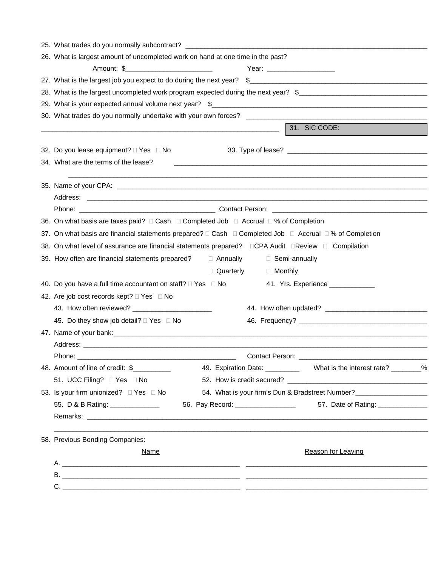| 25. What trades do you normally subcontract? ___________________________________                                                                         |  |  |  |  |  |  |
|----------------------------------------------------------------------------------------------------------------------------------------------------------|--|--|--|--|--|--|
| 26. What is largest amount of uncompleted work on hand at one time in the past?                                                                          |  |  |  |  |  |  |
|                                                                                                                                                          |  |  |  |  |  |  |
| 27. What is the largest job you expect to do during the next year? \$                                                                                    |  |  |  |  |  |  |
| 28. What is the largest uncompleted work program expected during the next year? \$                                                                       |  |  |  |  |  |  |
|                                                                                                                                                          |  |  |  |  |  |  |
|                                                                                                                                                          |  |  |  |  |  |  |
| 31. SIC CODE:                                                                                                                                            |  |  |  |  |  |  |
|                                                                                                                                                          |  |  |  |  |  |  |
| 32. Do you lease equipment? □ Yes □ No                                                                                                                   |  |  |  |  |  |  |
| 34. What are the terms of the lease?<br>and the control of the control of the control of the control of the control of the control of the control of the |  |  |  |  |  |  |
| ,我们也不会有什么。""我们的人,我们也不会有什么?""我们的人,我们也不会有什么?""我们的人,我们也不会有什么?""我们的人,我们也不会有什么?""我们的人                                                                         |  |  |  |  |  |  |
|                                                                                                                                                          |  |  |  |  |  |  |
|                                                                                                                                                          |  |  |  |  |  |  |
| 36. On what basis are taxes paid? □ Cash □ Completed Job □ Accrual □ % of Completion                                                                     |  |  |  |  |  |  |
| 37. On what basis are financial statements prepared? □ Cash □ Completed Job □ Accrual □ % of Completion                                                  |  |  |  |  |  |  |
| 38. On what level of assurance are financial statements prepared? □CPA Audit □Review □ Compilation                                                       |  |  |  |  |  |  |
| 39. How often are financial statements prepared?<br>Annually<br>□ Semi-annually                                                                          |  |  |  |  |  |  |
| □ Quarterly<br>□ Monthly                                                                                                                                 |  |  |  |  |  |  |
| 40. Do you have a full time accountant on staff? $\Box$ Yes $\Box$ No<br>41. Yrs. Experience _____________                                               |  |  |  |  |  |  |
| 42. Are job cost records kept? □ Yes □ No                                                                                                                |  |  |  |  |  |  |
|                                                                                                                                                          |  |  |  |  |  |  |
| 45. Do they show job detail? D Yes D No                                                                                                                  |  |  |  |  |  |  |
| 47. Name of your bank: example and a series of your contract of the series of your bank of your bank:                                                    |  |  |  |  |  |  |
|                                                                                                                                                          |  |  |  |  |  |  |
|                                                                                                                                                          |  |  |  |  |  |  |
| 48. Amount of line of credit: \$                                                                                                                         |  |  |  |  |  |  |
| 51. UCC Filing? □ Yes □ No                                                                                                                               |  |  |  |  |  |  |
| 53. Is your firm unionized? □ Yes □ No                                                                                                                   |  |  |  |  |  |  |
| 56. Pay Record: __________________<br>55. D & B Rating: ______________<br>57. Date of Rating: ______________                                             |  |  |  |  |  |  |
|                                                                                                                                                          |  |  |  |  |  |  |
| 58. Previous Bonding Companies:                                                                                                                          |  |  |  |  |  |  |
| <b>Reason for Leaving</b><br>Name                                                                                                                        |  |  |  |  |  |  |
|                                                                                                                                                          |  |  |  |  |  |  |
|                                                                                                                                                          |  |  |  |  |  |  |
|                                                                                                                                                          |  |  |  |  |  |  |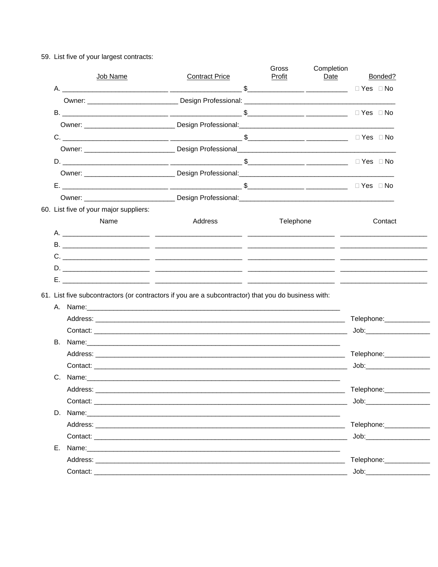| Job Name                               | <b>Contract Price</b>                                                                                                                                                                                                          | Gross<br>Profit | Completion<br>Date | <b>Bonded?</b>                                                                                                                                                                                                                |
|----------------------------------------|--------------------------------------------------------------------------------------------------------------------------------------------------------------------------------------------------------------------------------|-----------------|--------------------|-------------------------------------------------------------------------------------------------------------------------------------------------------------------------------------------------------------------------------|
|                                        |                                                                                                                                                                                                                                |                 |                    |                                                                                                                                                                                                                               |
|                                        |                                                                                                                                                                                                                                |                 |                    |                                                                                                                                                                                                                               |
|                                        |                                                                                                                                                                                                                                |                 |                    |                                                                                                                                                                                                                               |
|                                        |                                                                                                                                                                                                                                |                 |                    |                                                                                                                                                                                                                               |
|                                        |                                                                                                                                                                                                                                |                 |                    |                                                                                                                                                                                                                               |
|                                        |                                                                                                                                                                                                                                |                 |                    |                                                                                                                                                                                                                               |
|                                        |                                                                                                                                                                                                                                |                 |                    |                                                                                                                                                                                                                               |
|                                        |                                                                                                                                                                                                                                |                 |                    |                                                                                                                                                                                                                               |
|                                        |                                                                                                                                                                                                                                |                 |                    |                                                                                                                                                                                                                               |
|                                        |                                                                                                                                                                                                                                |                 |                    |                                                                                                                                                                                                                               |
| 60. List five of your major suppliers: |                                                                                                                                                                                                                                |                 |                    |                                                                                                                                                                                                                               |
| Name                                   | Address                                                                                                                                                                                                                        | Telephone       |                    | Contact                                                                                                                                                                                                                       |
|                                        |                                                                                                                                                                                                                                |                 |                    |                                                                                                                                                                                                                               |
|                                        |                                                                                                                                                                                                                                |                 |                    |                                                                                                                                                                                                                               |
|                                        |                                                                                                                                                                                                                                |                 |                    |                                                                                                                                                                                                                               |
|                                        |                                                                                                                                                                                                                                |                 |                    |                                                                                                                                                                                                                               |
|                                        |                                                                                                                                                                                                                                |                 |                    |                                                                                                                                                                                                                               |
|                                        |                                                                                                                                                                                                                                |                 |                    |                                                                                                                                                                                                                               |
| В.                                     | 61. List five subcontractors (or contractors if you are a subcontractor) that you do business with:                                                                                                                            |                 |                    |                                                                                                                                                                                                                               |
|                                        |                                                                                                                                                                                                                                |                 |                    | Job: when the contract of the contract of the contract of the contract of the contract of the contract of the contract of the contract of the contract of the contract of the contract of the contract of the contract of the |
|                                        |                                                                                                                                                                                                                                |                 |                    |                                                                                                                                                                                                                               |
| Address:                               |                                                                                                                                                                                                                                |                 |                    | Telephone: ____________                                                                                                                                                                                                       |
|                                        |                                                                                                                                                                                                                                |                 |                    | Job: __________________                                                                                                                                                                                                       |
| D.                                     |                                                                                                                                                                                                                                |                 |                    |                                                                                                                                                                                                                               |
|                                        |                                                                                                                                                                                                                                |                 |                    | Telephone: ______________                                                                                                                                                                                                     |
|                                        |                                                                                                                                                                                                                                |                 |                    |                                                                                                                                                                                                                               |
| Е.                                     | Name: with a state of the contract of the contract of the contract of the contract of the contract of the contract of the contract of the contract of the contract of the contract of the contract of the contract of the cont |                 |                    |                                                                                                                                                                                                                               |
|                                        | Address: the contract of the contract of the contract of the contract of the contract of the contract of the contract of the contract of the contract of the contract of the contract of the contract of the contract of the c |                 |                    | Telephone:_____________                                                                                                                                                                                                       |

59. List five of your largest contracts: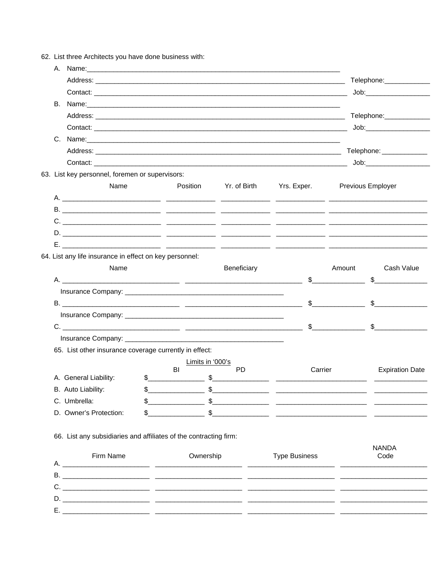|    | B. Name: <u>example and a series of the series of the series of the series of the series of the series of the series of the series of the series of the series of the series of the series of the series of the series of the se</u> |                                               |                       |                      |                               |                                                                                                                                                                                                                                                                                                                     |
|----|--------------------------------------------------------------------------------------------------------------------------------------------------------------------------------------------------------------------------------------|-----------------------------------------------|-----------------------|----------------------|-------------------------------|---------------------------------------------------------------------------------------------------------------------------------------------------------------------------------------------------------------------------------------------------------------------------------------------------------------------|
|    |                                                                                                                                                                                                                                      |                                               |                       |                      |                               |                                                                                                                                                                                                                                                                                                                     |
|    |                                                                                                                                                                                                                                      |                                               |                       |                      |                               |                                                                                                                                                                                                                                                                                                                     |
|    |                                                                                                                                                                                                                                      |                                               |                       |                      |                               |                                                                                                                                                                                                                                                                                                                     |
|    |                                                                                                                                                                                                                                      |                                               |                       |                      |                               |                                                                                                                                                                                                                                                                                                                     |
|    | Contact: the contact of the contact of the contact of the contact of the contact:                                                                                                                                                    |                                               |                       |                      |                               | Job: will be a series of the series of the series of the series of the series of the series of the series of the series of the series of the series of the series of the series of the series of the series of the series of t                                                                                      |
|    | 63. List key personnel, foremen or supervisors:                                                                                                                                                                                      |                                               |                       |                      |                               |                                                                                                                                                                                                                                                                                                                     |
|    | Name                                                                                                                                                                                                                                 |                                               | Position Yr. of Birth |                      | Yrs. Exper. Previous Employer |                                                                                                                                                                                                                                                                                                                     |
|    |                                                                                                                                                                                                                                      |                                               |                       |                      |                               |                                                                                                                                                                                                                                                                                                                     |
|    |                                                                                                                                                                                                                                      |                                               |                       |                      |                               |                                                                                                                                                                                                                                                                                                                     |
|    |                                                                                                                                                                                                                                      |                                               |                       |                      |                               |                                                                                                                                                                                                                                                                                                                     |
|    |                                                                                                                                                                                                                                      |                                               |                       |                      |                               |                                                                                                                                                                                                                                                                                                                     |
| Е. | <u> 1999 - Jacques Alexandro (h. 1920).</u> 1999 - Antonio III (h. 1920).                                                                                                                                                            |                                               |                       |                      |                               |                                                                                                                                                                                                                                                                                                                     |
|    | 64. List any life insurance in effect on key personnel:                                                                                                                                                                              |                                               |                       |                      |                               |                                                                                                                                                                                                                                                                                                                     |
|    | Name                                                                                                                                                                                                                                 |                                               | Beneficiary           |                      | Amount                        | Cash Value                                                                                                                                                                                                                                                                                                          |
|    |                                                                                                                                                                                                                                      |                                               |                       |                      | $\mathfrak s$                 | $\frac{1}{2}$                                                                                                                                                                                                                                                                                                       |
|    |                                                                                                                                                                                                                                      |                                               |                       |                      |                               |                                                                                                                                                                                                                                                                                                                     |
|    |                                                                                                                                                                                                                                      |                                               |                       | $\mathbb{S}$         |                               | $\mathbb{S}$                                                                                                                                                                                                                                                                                                        |
|    |                                                                                                                                                                                                                                      |                                               |                       |                      |                               |                                                                                                                                                                                                                                                                                                                     |
|    | $C. \underline{\hspace{2cm}} \underline{\hspace{2cm}}$                                                                                                                                                                               |                                               |                       |                      |                               |                                                                                                                                                                                                                                                                                                                     |
|    |                                                                                                                                                                                                                                      |                                               |                       |                      |                               |                                                                                                                                                                                                                                                                                                                     |
|    | 65. List other insurance coverage currently in effect:                                                                                                                                                                               |                                               |                       |                      |                               |                                                                                                                                                                                                                                                                                                                     |
|    |                                                                                                                                                                                                                                      | Limits in '000's<br>BI                        | <b>PD</b>             |                      | Carrier                       | <b>Expiration Date</b>                                                                                                                                                                                                                                                                                              |
|    | A. General Liability:                                                                                                                                                                                                                |                                               | $\frac{1}{2}$         |                      |                               |                                                                                                                                                                                                                                                                                                                     |
|    | B. Auto Liability:                                                                                                                                                                                                                   | \$<br><u> 1990 - Johann Barbara, martin a</u> | $\frac{1}{2}$         |                      |                               |                                                                                                                                                                                                                                                                                                                     |
|    | C. Umbrella:                                                                                                                                                                                                                         |                                               |                       |                      |                               | $\frac{1}{2}$ $\frac{1}{2}$ $\frac{1}{2}$ $\frac{1}{2}$ $\frac{1}{2}$ $\frac{1}{2}$ $\frac{1}{2}$ $\frac{1}{2}$ $\frac{1}{2}$ $\frac{1}{2}$ $\frac{1}{2}$ $\frac{1}{2}$ $\frac{1}{2}$ $\frac{1}{2}$ $\frac{1}{2}$ $\frac{1}{2}$ $\frac{1}{2}$ $\frac{1}{2}$ $\frac{1}{2}$ $\frac{1}{2}$ $\frac{1}{2}$ $\frac{1}{2}$ |
|    | D. Owner's Protection:                                                                                                                                                                                                               |                                               |                       |                      |                               | $\frac{1}{2}$ $\frac{1}{2}$ $\frac{1}{2}$ $\frac{1}{2}$ $\frac{1}{2}$ $\frac{1}{2}$ $\frac{1}{2}$ $\frac{1}{2}$ $\frac{1}{2}$ $\frac{1}{2}$ $\frac{1}{2}$ $\frac{1}{2}$ $\frac{1}{2}$ $\frac{1}{2}$ $\frac{1}{2}$ $\frac{1}{2}$ $\frac{1}{2}$ $\frac{1}{2}$ $\frac{1}{2}$ $\frac{1}{2}$ $\frac{1}{2}$ $\frac{1}{2}$ |
|    | 66. List any subsidiaries and affiliates of the contracting firm:                                                                                                                                                                    |                                               |                       |                      |                               |                                                                                                                                                                                                                                                                                                                     |
|    |                                                                                                                                                                                                                                      |                                               |                       |                      |                               | <b>NANDA</b>                                                                                                                                                                                                                                                                                                        |
|    | Firm Name                                                                                                                                                                                                                            | Ownership                                     |                       | <b>Type Business</b> |                               | Code                                                                                                                                                                                                                                                                                                                |
|    |                                                                                                                                                                                                                                      |                                               |                       |                      |                               |                                                                                                                                                                                                                                                                                                                     |
|    |                                                                                                                                                                                                                                      |                                               |                       |                      |                               |                                                                                                                                                                                                                                                                                                                     |
|    |                                                                                                                                                                                                                                      |                                               |                       |                      |                               |                                                                                                                                                                                                                                                                                                                     |
|    |                                                                                                                                                                                                                                      |                                               |                       |                      |                               |                                                                                                                                                                                                                                                                                                                     |
|    |                                                                                                                                                                                                                                      |                                               |                       |                      |                               |                                                                                                                                                                                                                                                                                                                     |

62. List three Architects you have done business with: